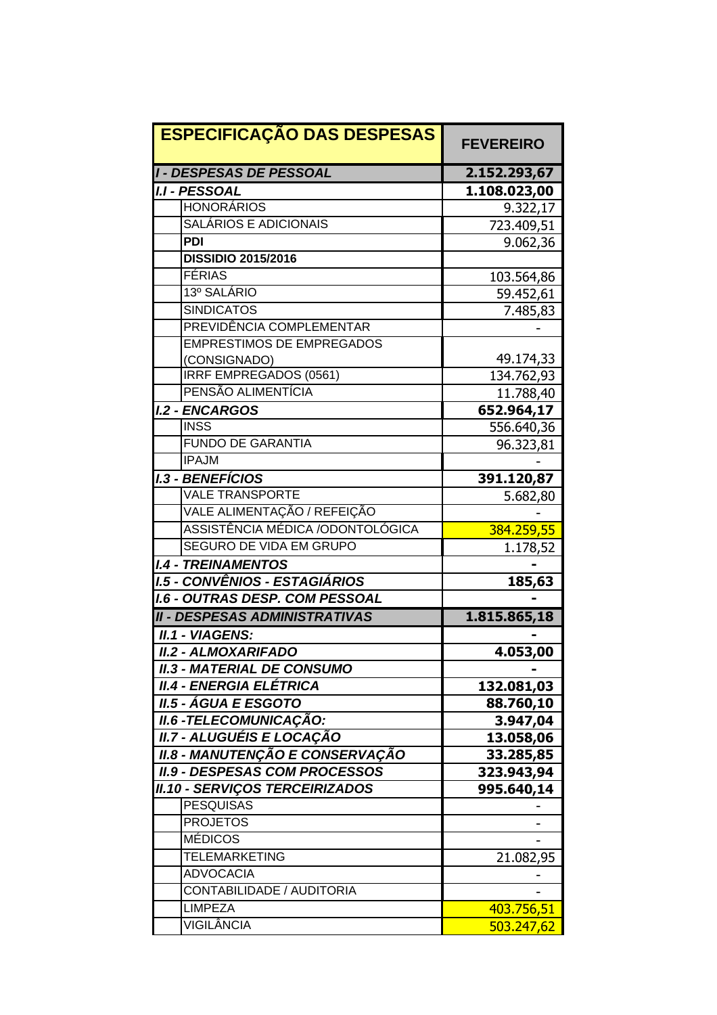| <b>ESPECIFICAÇÃO DAS DESPESAS</b>      | <b>FEVEREIRO</b> |
|----------------------------------------|------------------|
| <b>I - DESPESAS DE PESSOAL</b>         | 2.152.293,67     |
| <b>I.I - PESSOAL</b>                   | 1.108.023,00     |
| <b>HONORÁRIOS</b>                      | 9.322,17         |
| SALÁRIOS E ADICIONAIS                  | 723.409,51       |
| <b>PDI</b>                             | 9.062,36         |
| <b>DISSIDIO 2015/2016</b>              |                  |
| FÉRIAS                                 | 103.564,86       |
| 13º SALÁRIO                            | 59.452,61        |
| <b>SINDICATOS</b>                      | 7.485,83         |
| PREVIDÊNCIA COMPLEMENTAR               |                  |
| <b>EMPRESTIMOS DE EMPREGADOS</b>       |                  |
| (CONSIGNADO)                           | 49.174,33        |
| IRRF EMPREGADOS (0561)                 | 134.762,93       |
| PENSÃO ALIMENTÍCIA                     | 11.788,40        |
| <b>I.2 - ENCARGOS</b>                  | 652.964,17       |
| <b>INSS</b>                            | 556.640,36       |
| <b>FUNDO DE GARANTIA</b>               | 96.323,81        |
| <b>IPAJM</b>                           |                  |
| <b>I.3 - BENEFÍCIOS</b>                | 391.120,87       |
| <b>VALE TRANSPORTE</b>                 | 5.682,80         |
| VALE ALIMENTAÇÃO / REFEIÇÃO            |                  |
| ASSISTÊNCIA MÉDICA /ODONTOLÓGICA       | 384.259,55       |
| <b>SEGURO DE VIDA EM GRUPO</b>         | 1.178,52         |
| <b>I.4 - TREINAMENTOS</b>              |                  |
| <b>I.5 - CONVÊNIOS - ESTAGIÁRIOS</b>   | 185,63           |
| <b>I.6 - OUTRAS DESP. COM PESSOAL</b>  |                  |
| <b>II - DESPESAS ADMINISTRATIVAS</b>   | 1.815.865,18     |
| <b>II.1 - VIAGENS:</b>                 |                  |
| <b>II.2 - ALMOXARIFADO</b>             | 4.053,00         |
| <b>II.3 - MATERIAL DE CONSUMO</b>      |                  |
| II.4 - ENERGIA ELÉTRICA                | 132.081,03       |
| <b>II.5 - ÁGUA E ESGOTO</b>            | 88.760,10        |
| <b>II.6 -TELECOMUNICAÇÃO:</b>          | 3.947,04         |
| II.7 - ALUGUÉIS E LOCAÇÃO              | 13.058,06        |
| <b>II.8 - MANUTENÇÃO E CONSERVAÇÃO</b> | 33.285,85        |
| <b>II.9 - DESPESAS COM PROCESSOS</b>   | 323.943,94       |
| <b>II.10 - SERVIÇOS TERCEIRIZADOS</b>  | 995.640,14       |
| <b>PESQUISAS</b>                       |                  |
| <b>PROJETOS</b>                        |                  |
| <b>MÉDICOS</b>                         |                  |
| <b>TELEMARKETING</b>                   | 21.082,95        |
| <b>ADVOCACIA</b>                       |                  |
| CONTABILIDADE / AUDITORIA              |                  |
| <b>LIMPEZA</b>                         | 403.756,51       |
| VIGILÂNCIA                             | 503.247,62       |